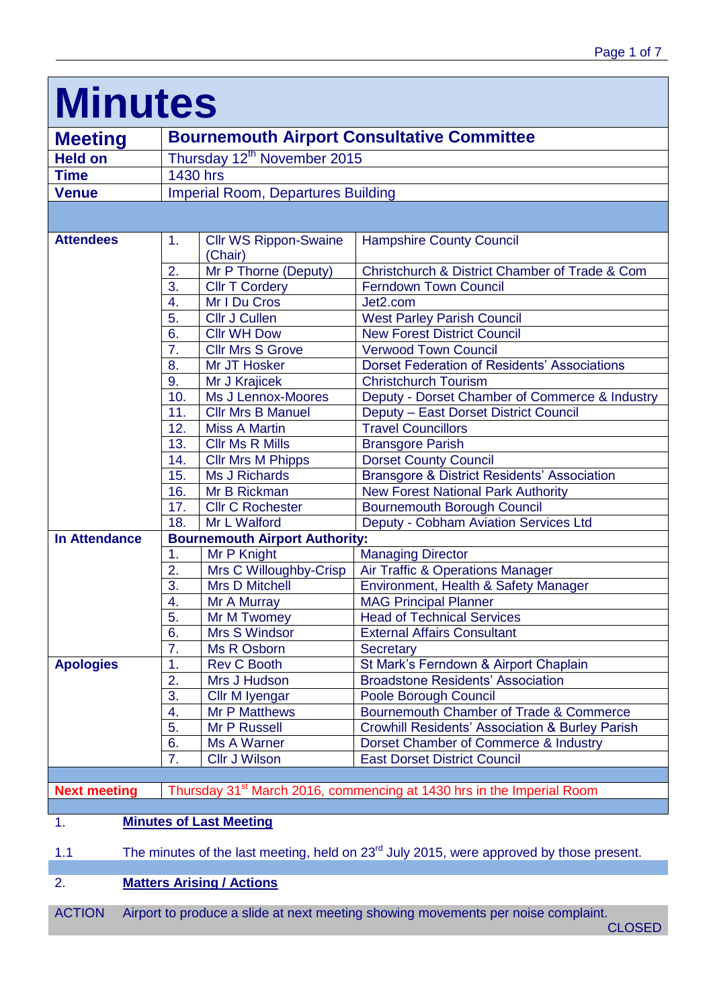# **Minutes**

| <b>Meeting</b>                                                                                    | <b>Bournemouth Airport Consultative Committee</b> |                                           |                                                                                   |  |  |
|---------------------------------------------------------------------------------------------------|---------------------------------------------------|-------------------------------------------|-----------------------------------------------------------------------------------|--|--|
| <b>Held on</b>                                                                                    | Thursday 12 <sup>th</sup> November 2015           |                                           |                                                                                   |  |  |
| <b>Time</b>                                                                                       | 1430 hrs                                          |                                           |                                                                                   |  |  |
| <b>Venue</b>                                                                                      |                                                   | <b>Imperial Room, Departures Building</b> |                                                                                   |  |  |
|                                                                                                   |                                                   |                                           |                                                                                   |  |  |
| <b>Attendees</b>                                                                                  | 1.                                                | <b>Cllr WS Rippon-Swaine</b>              | <b>Hampshire County Council</b>                                                   |  |  |
|                                                                                                   |                                                   | (Chair)                                   |                                                                                   |  |  |
|                                                                                                   | 2.                                                | Mr P Thorne (Deputy)                      | Christchurch & District Chamber of Trade & Com                                    |  |  |
|                                                                                                   | 3.                                                | <b>Cllr T Cordery</b>                     | <b>Ferndown Town Council</b>                                                      |  |  |
|                                                                                                   | 4.                                                | Mr I Du Cros                              | Jet2.com                                                                          |  |  |
|                                                                                                   | 5.                                                | <b>Cllr J Cullen</b>                      | <b>West Parley Parish Council</b>                                                 |  |  |
|                                                                                                   | 6.                                                | <b>Cllr WH Dow</b>                        | <b>New Forest District Council</b>                                                |  |  |
|                                                                                                   | 7.                                                | <b>Cllr Mrs S Grove</b>                   | <b>Verwood Town Council</b>                                                       |  |  |
|                                                                                                   | 8.                                                | Mr JT Hosker                              | <b>Dorset Federation of Residents' Associations</b>                               |  |  |
|                                                                                                   | 9.                                                | Mr J Krajicek                             | <b>Christchurch Tourism</b>                                                       |  |  |
|                                                                                                   | 10.                                               | Ms J Lennox-Moores                        | Deputy - Dorset Chamber of Commerce & Industry                                    |  |  |
|                                                                                                   | 11.                                               | <b>Cllr Mrs B Manuel</b>                  | Deputy - East Dorset District Council                                             |  |  |
|                                                                                                   | 12.                                               | <b>Miss A Martin</b>                      | <b>Travel Councillors</b>                                                         |  |  |
|                                                                                                   | 13.                                               | <b>Cllr Ms R Mills</b>                    | <b>Bransgore Parish</b>                                                           |  |  |
|                                                                                                   | 14.                                               | <b>Cllr Mrs M Phipps</b>                  | <b>Dorset County Council</b>                                                      |  |  |
|                                                                                                   | 15.                                               | <b>Ms J Richards</b>                      | <b>Bransgore &amp; District Residents' Association</b>                            |  |  |
|                                                                                                   | 16.                                               | Mr B Rickman                              | <b>New Forest National Park Authority</b>                                         |  |  |
|                                                                                                   | 17.                                               | <b>Cllr C Rochester</b>                   | <b>Bournemouth Borough Council</b>                                                |  |  |
|                                                                                                   | 18.                                               | Mr L Walford                              | Deputy - Cobham Aviation Services Ltd                                             |  |  |
| <b>In Attendance</b>                                                                              | <b>Bournemouth Airport Authority:</b>             |                                           |                                                                                   |  |  |
|                                                                                                   | 1.                                                | Mr P Knight                               | <b>Managing Director</b>                                                          |  |  |
|                                                                                                   | 2.                                                | Mrs C Willoughby-Crisp                    | Air Traffic & Operations Manager                                                  |  |  |
|                                                                                                   | 3.                                                | <b>Mrs D Mitchell</b>                     | Environment, Health & Safety Manager                                              |  |  |
|                                                                                                   | 4.                                                | Mr A Murray                               | <b>MAG Principal Planner</b>                                                      |  |  |
|                                                                                                   | 5.                                                | Mr M Twomey                               | <b>Head of Technical Services</b>                                                 |  |  |
|                                                                                                   | 6.                                                | Mrs S Windsor                             | <b>External Affairs Consultant</b>                                                |  |  |
|                                                                                                   | 7.                                                | Ms R Osborn                               | <b>Secretary</b>                                                                  |  |  |
| <b>Apologies</b>                                                                                  | 1.                                                | <b>Rev C Booth</b>                        | St Mark's Ferndown & Airport Chaplain                                             |  |  |
|                                                                                                   | 2.                                                | Mrs J Hudson                              | <b>Broadstone Residents' Association</b>                                          |  |  |
|                                                                                                   | 3.                                                | Cllr M Iyengar                            | Poole Borough Council                                                             |  |  |
|                                                                                                   | 4.                                                | <b>Mr P Matthews</b>                      | Bournemouth Chamber of Trade & Commerce                                           |  |  |
|                                                                                                   | 5.                                                | Mr P Russell                              | <b>Crowhill Residents' Association &amp; Burley Parish</b>                        |  |  |
|                                                                                                   | 6.                                                | Ms A Warner                               | Dorset Chamber of Commerce & Industry                                             |  |  |
|                                                                                                   | 7.                                                | <b>Cllr J Wilson</b>                      | <b>East Dorset District Council</b>                                               |  |  |
|                                                                                                   |                                                   |                                           |                                                                                   |  |  |
| <b>Next meeting</b>                                                                               |                                                   |                                           | Thursday 31 <sup>st</sup> March 2016, commencing at 1430 hrs in the Imperial Room |  |  |
|                                                                                                   |                                                   |                                           |                                                                                   |  |  |
| 1.<br><b>Minutes of Last Meeting</b>                                                              |                                                   |                                           |                                                                                   |  |  |
| The minutes of the last meeting, held on $23rd$ July 2015, were approved by those present.<br>1.1 |                                                   |                                           |                                                                                   |  |  |
| <b>Matters Arising / Actions</b>                                                                  |                                                   |                                           |                                                                                   |  |  |
| 2.                                                                                                |                                                   |                                           |                                                                                   |  |  |

ACTION Airport to produce a slide at next meeting showing movements per noise complaint.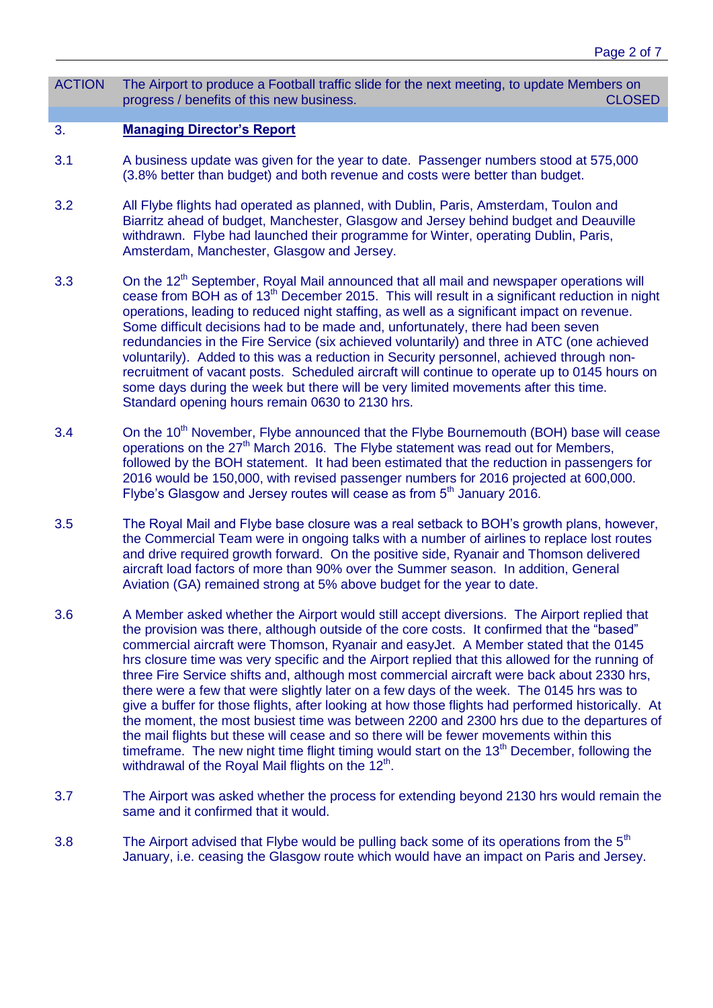ACTION The Airport to produce a Football traffic slide for the next meeting, to update Members on progress / benefits of this new business. CLOSED

#### 3. **Managing Director's Report**

- 3.1 A business update was given for the year to date. Passenger numbers stood at 575,000 (3.8% better than budget) and both revenue and costs were better than budget.
- 3.2 All Flybe flights had operated as planned, with Dublin, Paris, Amsterdam, Toulon and Biarritz ahead of budget, Manchester, Glasgow and Jersey behind budget and Deauville withdrawn. Flybe had launched their programme for Winter, operating Dublin, Paris, Amsterdam, Manchester, Glasgow and Jersey.
- 3.3 On the 12<sup>th</sup> September, Royal Mail announced that all mail and newspaper operations will cease from BOH as of 13<sup>th</sup> December 2015. This will result in a significant reduction in night operations, leading to reduced night staffing, as well as a significant impact on revenue. Some difficult decisions had to be made and, unfortunately, there had been seven redundancies in the Fire Service (six achieved voluntarily) and three in ATC (one achieved voluntarily). Added to this was a reduction in Security personnel, achieved through nonrecruitment of vacant posts. Scheduled aircraft will continue to operate up to 0145 hours on some days during the week but there will be very limited movements after this time. Standard opening hours remain 0630 to 2130 hrs.
- 3.4 On the 10<sup>th</sup> November, Flybe announced that the Flybe Bournemouth (BOH) base will cease operations on the  $27<sup>th</sup>$  March 2016. The Flybe statement was read out for Members, followed by the BOH statement. It had been estimated that the reduction in passengers for 2016 would be 150,000, with revised passenger numbers for 2016 projected at 600,000. Flybe's Glasgow and Jersey routes will cease as from  $5<sup>th</sup>$  January 2016.
- 3.5 The Royal Mail and Flybe base closure was a real setback to BOH's growth plans, however, the Commercial Team were in ongoing talks with a number of airlines to replace lost routes and drive required growth forward. On the positive side, Ryanair and Thomson delivered aircraft load factors of more than 90% over the Summer season. In addition, General Aviation (GA) remained strong at 5% above budget for the year to date.
- 3.6 A Member asked whether the Airport would still accept diversions. The Airport replied that the provision was there, although outside of the core costs. It confirmed that the "based" commercial aircraft were Thomson, Ryanair and easyJet. A Member stated that the 0145 hrs closure time was very specific and the Airport replied that this allowed for the running of three Fire Service shifts and, although most commercial aircraft were back about 2330 hrs, there were a few that were slightly later on a few days of the week. The 0145 hrs was to give a buffer for those flights, after looking at how those flights had performed historically. At the moment, the most busiest time was between 2200 and 2300 hrs due to the departures of the mail flights but these will cease and so there will be fewer movements within this timeframe. The new night time flight timing would start on the  $13<sup>th</sup>$  December, following the withdrawal of the Royal Mail flights on the  $12<sup>th</sup>$ .
- 3.7 The Airport was asked whether the process for extending beyond 2130 hrs would remain the same and it confirmed that it would.
- 3.8 The Airport advised that Flybe would be pulling back some of its operations from the  $5<sup>th</sup>$ January, i.e. ceasing the Glasgow route which would have an impact on Paris and Jersey.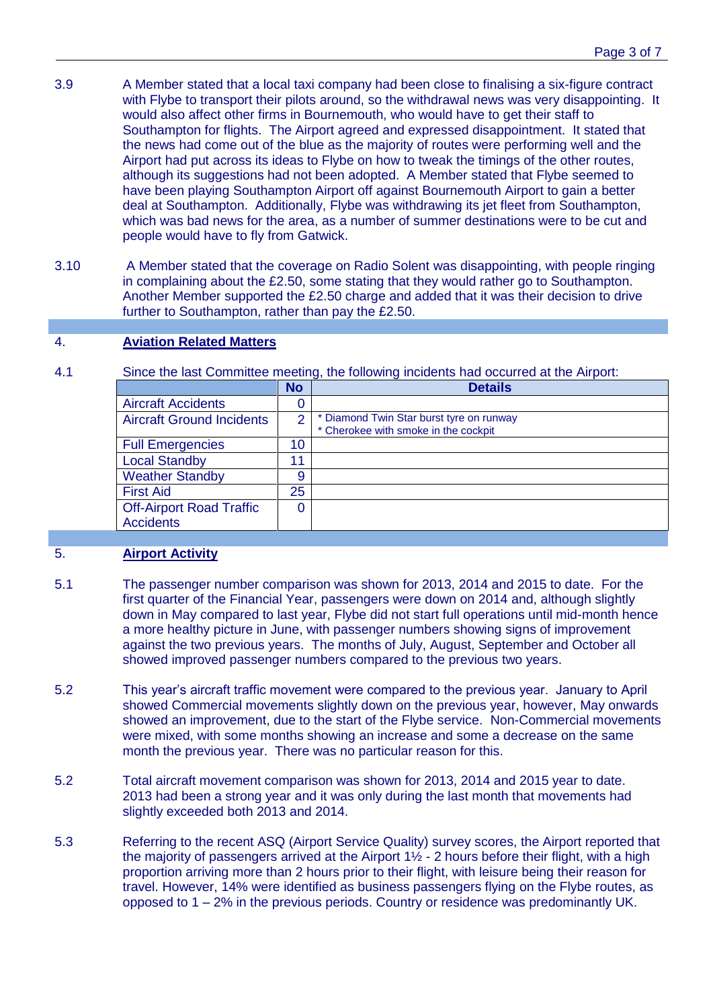- 3.9 A Member stated that a local taxi company had been close to finalising a six-figure contract with Flybe to transport their pilots around, so the withdrawal news was very disappointing. It would also affect other firms in Bournemouth, who would have to get their staff to Southampton for flights. The Airport agreed and expressed disappointment. It stated that the news had come out of the blue as the majority of routes were performing well and the Airport had put across its ideas to Flybe on how to tweak the timings of the other routes, although its suggestions had not been adopted. A Member stated that Flybe seemed to have been playing Southampton Airport off against Bournemouth Airport to gain a better deal at Southampton. Additionally, Flybe was withdrawing its jet fleet from Southampton, which was bad news for the area, as a number of summer destinations were to be cut and people would have to fly from Gatwick.
- 3.10 A Member stated that the coverage on Radio Solent was disappointing, with people ringing in complaining about the £2.50, some stating that they would rather go to Southampton. Another Member supported the £2.50 charge and added that it was their decision to drive further to Southampton, rather than pay the £2.50.

#### 4. **Aviation Related Matters**

4.1 Since the last Committee meeting, the following incidents had occurred at the Airport:

|                                  | <b>No</b> | <b>Details</b>                                                                 |
|----------------------------------|-----------|--------------------------------------------------------------------------------|
| <b>Aircraft Accidents</b>        |           |                                                                                |
| <b>Aircraft Ground Incidents</b> | っ         | Diamond Twin Star burst tyre on runway<br>* Cherokee with smoke in the cockpit |
| <b>Full Emergencies</b>          | 10        |                                                                                |
| <b>Local Standby</b>             |           |                                                                                |
| <b>Weather Standby</b>           | 9         |                                                                                |
| <b>First Aid</b>                 | 25        |                                                                                |
| <b>Off-Airport Road Traffic</b>  |           |                                                                                |
| <b>Accidents</b>                 |           |                                                                                |

#### 5. **Airport Activity**

- 5.1 The passenger number comparison was shown for 2013, 2014 and 2015 to date. For the first quarter of the Financial Year, passengers were down on 2014 and, although slightly down in May compared to last year, Flybe did not start full operations until mid-month hence a more healthy picture in June, with passenger numbers showing signs of improvement against the two previous years. The months of July, August, September and October all showed improved passenger numbers compared to the previous two years.
- 5.2 This year's aircraft traffic movement were compared to the previous year. January to April showed Commercial movements slightly down on the previous year, however, May onwards showed an improvement, due to the start of the Flybe service. Non-Commercial movements were mixed, with some months showing an increase and some a decrease on the same month the previous year. There was no particular reason for this.
- 5.2 Total aircraft movement comparison was shown for 2013, 2014 and 2015 year to date. 2013 had been a strong year and it was only during the last month that movements had slightly exceeded both 2013 and 2014.
- 5.3 Referring to the recent ASQ (Airport Service Quality) survey scores, the Airport reported that the majority of passengers arrived at the Airport  $1\frac{1}{2}$  - 2 hours before their flight, with a high proportion arriving more than 2 hours prior to their flight, with leisure being their reason for travel. However, 14% were identified as business passengers flying on the Flybe routes, as opposed to 1 – 2% in the previous periods. Country or residence was predominantly UK.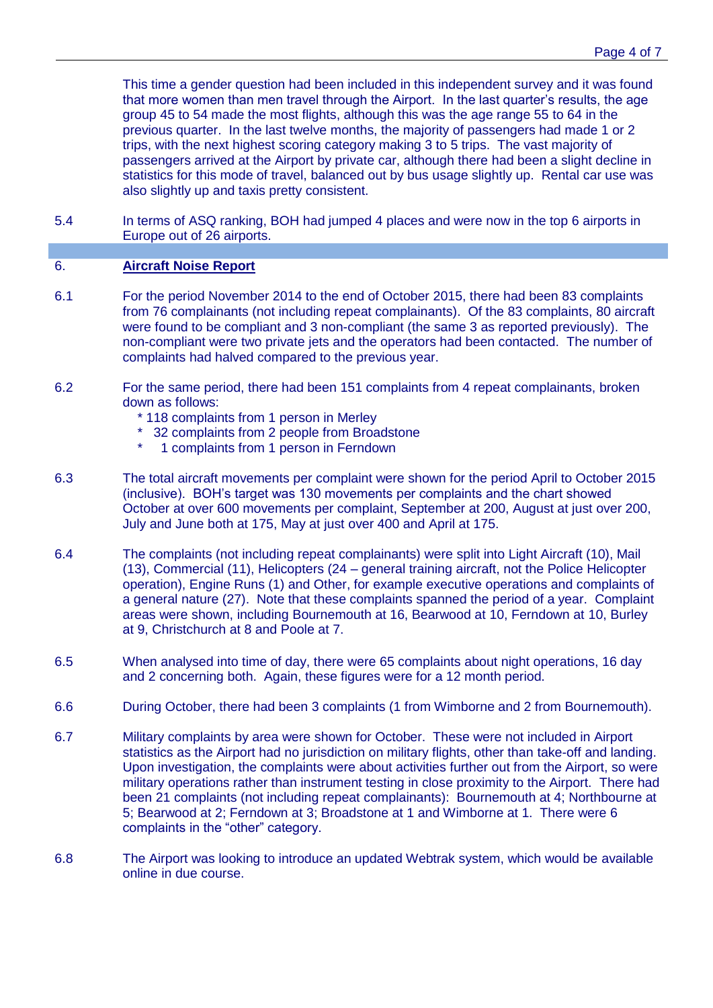This time a gender question had been included in this independent survey and it was found that more women than men travel through the Airport. In the last quarter's results, the age group 45 to 54 made the most flights, although this was the age range 55 to 64 in the previous quarter. In the last twelve months, the majority of passengers had made 1 or 2 trips, with the next highest scoring category making 3 to 5 trips. The vast majority of passengers arrived at the Airport by private car, although there had been a slight decline in statistics for this mode of travel, balanced out by bus usage slightly up. Rental car use was also slightly up and taxis pretty consistent.

5.4 In terms of ASQ ranking, BOH had jumped 4 places and were now in the top 6 airports in Europe out of 26 airports.

# 6. **Aircraft Noise Report**

- 6.1 For the period November 2014 to the end of October 2015, there had been 83 complaints from 76 complainants (not including repeat complainants). Of the 83 complaints, 80 aircraft were found to be compliant and 3 non-compliant (the same 3 as reported previously). The non-compliant were two private jets and the operators had been contacted. The number of complaints had halved compared to the previous year.
- 6.2 For the same period, there had been 151 complaints from 4 repeat complainants, broken down as follows:
	- \* 118 complaints from 1 person in Merley
	- \* 32 complaints from 2 people from Broadstone<br>\* 1 complaints from 1 person in Ferndown
	- 1 complaints from 1 person in Ferndown
- 6.3 The total aircraft movements per complaint were shown for the period April to October 2015 (inclusive). BOH's target was 130 movements per complaints and the chart showed October at over 600 movements per complaint, September at 200, August at just over 200, July and June both at 175, May at just over 400 and April at 175.
- 6.4 The complaints (not including repeat complainants) were split into Light Aircraft (10), Mail (13), Commercial (11), Helicopters (24 – general training aircraft, not the Police Helicopter operation), Engine Runs (1) and Other, for example executive operations and complaints of a general nature (27). Note that these complaints spanned the period of a year. Complaint areas were shown, including Bournemouth at 16, Bearwood at 10, Ferndown at 10, Burley at 9, Christchurch at 8 and Poole at 7.
- 6.5 When analysed into time of day, there were 65 complaints about night operations, 16 day and 2 concerning both. Again, these figures were for a 12 month period.
- 6.6 During October, there had been 3 complaints (1 from Wimborne and 2 from Bournemouth).
- 6.7 Military complaints by area were shown for October. These were not included in Airport statistics as the Airport had no jurisdiction on military flights, other than take-off and landing. Upon investigation, the complaints were about activities further out from the Airport, so were military operations rather than instrument testing in close proximity to the Airport. There had been 21 complaints (not including repeat complainants): Bournemouth at 4; Northbourne at 5; Bearwood at 2; Ferndown at 3; Broadstone at 1 and Wimborne at 1. There were 6 complaints in the "other" category.
- 6.8 The Airport was looking to introduce an updated Webtrak system, which would be available online in due course.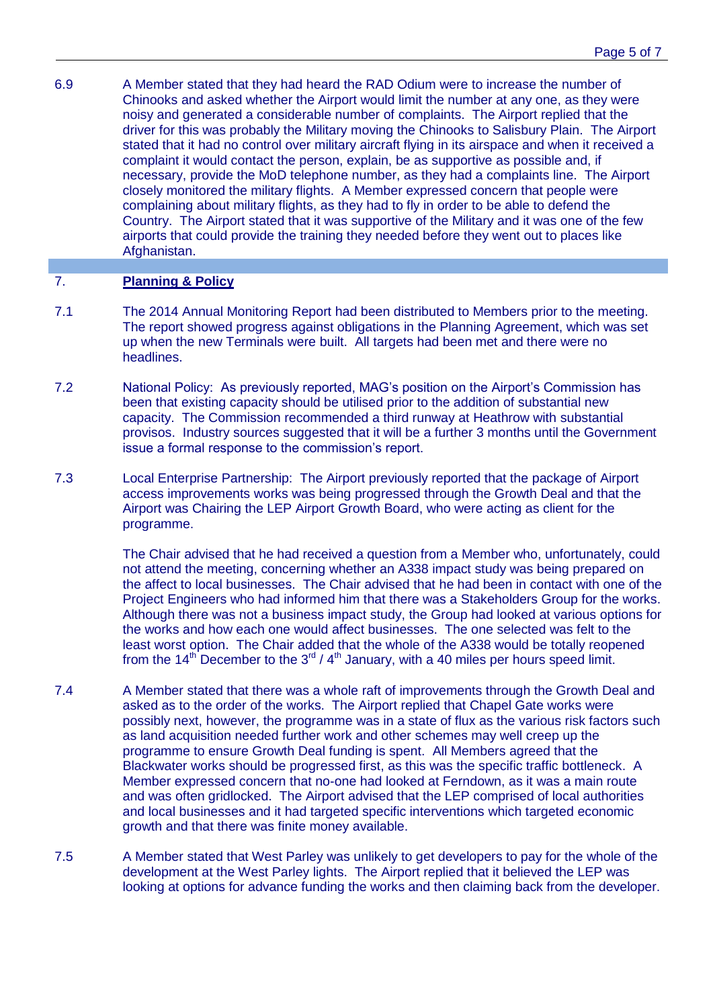6.9 A Member stated that they had heard the RAD Odium were to increase the number of Chinooks and asked whether the Airport would limit the number at any one, as they were noisy and generated a considerable number of complaints. The Airport replied that the driver for this was probably the Military moving the Chinooks to Salisbury Plain. The Airport stated that it had no control over military aircraft flying in its airspace and when it received a complaint it would contact the person, explain, be as supportive as possible and, if necessary, provide the MoD telephone number, as they had a complaints line. The Airport closely monitored the military flights. A Member expressed concern that people were complaining about military flights, as they had to fly in order to be able to defend the Country. The Airport stated that it was supportive of the Military and it was one of the few airports that could provide the training they needed before they went out to places like Afghanistan.

## 7. **Planning & Policy**

- 7.1 The 2014 Annual Monitoring Report had been distributed to Members prior to the meeting. The report showed progress against obligations in the Planning Agreement, which was set up when the new Terminals were built. All targets had been met and there were no headlines.
- 7.2 National Policy: As previously reported, MAG's position on the Airport's Commission has been that existing capacity should be utilised prior to the addition of substantial new capacity. The Commission recommended a third runway at Heathrow with substantial provisos. Industry sources suggested that it will be a further 3 months until the Government issue a formal response to the commission's report.
- 7.3 Local Enterprise Partnership: The Airport previously reported that the package of Airport access improvements works was being progressed through the Growth Deal and that the Airport was Chairing the LEP Airport Growth Board, who were acting as client for the programme.

The Chair advised that he had received a question from a Member who, unfortunately, could not attend the meeting, concerning whether an A338 impact study was being prepared on the affect to local businesses. The Chair advised that he had been in contact with one of the Project Engineers who had informed him that there was a Stakeholders Group for the works. Although there was not a business impact study, the Group had looked at various options for the works and how each one would affect businesses. The one selected was felt to the least worst option. The Chair added that the whole of the A338 would be totally reopened from the 14<sup>th</sup> December to the  $3<sup>rd</sup>$  / 4<sup>th</sup> January, with a 40 miles per hours speed limit.

- 7.4 A Member stated that there was a whole raft of improvements through the Growth Deal and asked as to the order of the works. The Airport replied that Chapel Gate works were possibly next, however, the programme was in a state of flux as the various risk factors such as land acquisition needed further work and other schemes may well creep up the programme to ensure Growth Deal funding is spent. All Members agreed that the Blackwater works should be progressed first, as this was the specific traffic bottleneck. A Member expressed concern that no-one had looked at Ferndown, as it was a main route and was often gridlocked. The Airport advised that the LEP comprised of local authorities and local businesses and it had targeted specific interventions which targeted economic growth and that there was finite money available.
- 7.5 A Member stated that West Parley was unlikely to get developers to pay for the whole of the development at the West Parley lights. The Airport replied that it believed the LEP was looking at options for advance funding the works and then claiming back from the developer.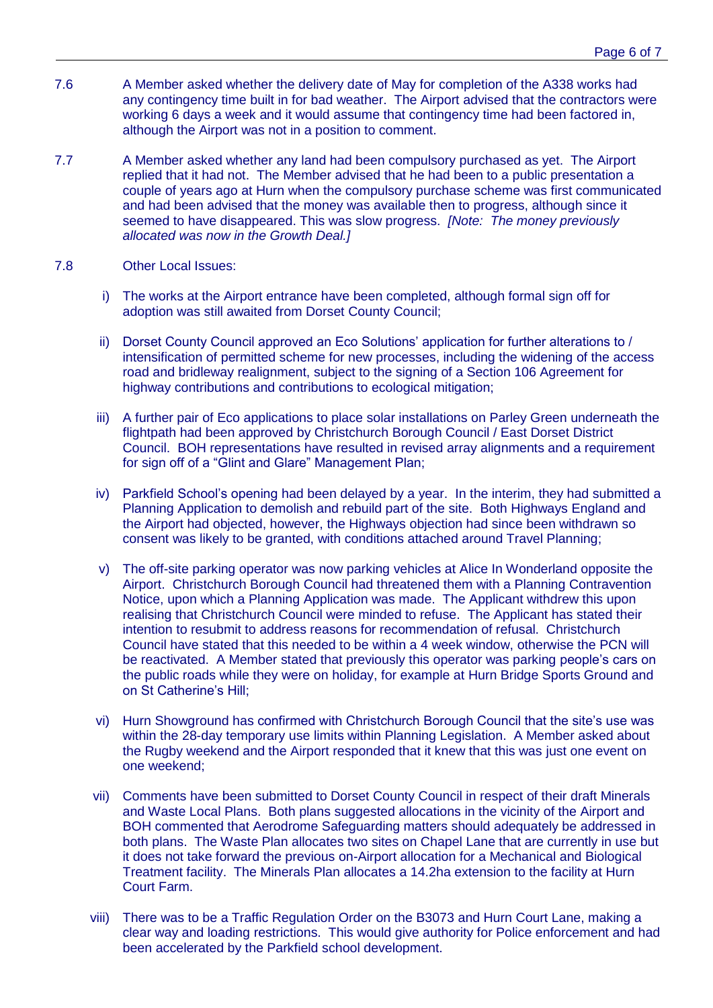- 7.6 A Member asked whether the delivery date of May for completion of the A338 works had any contingency time built in for bad weather. The Airport advised that the contractors were working 6 days a week and it would assume that contingency time had been factored in, although the Airport was not in a position to comment.
- 7.7 A Member asked whether any land had been compulsory purchased as yet. The Airport replied that it had not. The Member advised that he had been to a public presentation a couple of years ago at Hurn when the compulsory purchase scheme was first communicated and had been advised that the money was available then to progress, although since it seemed to have disappeared. This was slow progress. *[Note: The money previously allocated was now in the Growth Deal.]*
- 7.8 Other Local Issues:
	- i) The works at the Airport entrance have been completed, although formal sign off for adoption was still awaited from Dorset County Council;
	- ii) Dorset County Council approved an Eco Solutions' application for further alterations to / intensification of permitted scheme for new processes, including the widening of the access road and bridleway realignment, subject to the signing of a Section 106 Agreement for highway contributions and contributions to ecological mitigation;
	- iii) A further pair of Eco applications to place solar installations on Parley Green underneath the flightpath had been approved by Christchurch Borough Council / East Dorset District Council. BOH representations have resulted in revised array alignments and a requirement for sign off of a "Glint and Glare" Management Plan;
	- iv) Parkfield School's opening had been delayed by a year. In the interim, they had submitted a Planning Application to demolish and rebuild part of the site. Both Highways England and the Airport had objected, however, the Highways objection had since been withdrawn so consent was likely to be granted, with conditions attached around Travel Planning;
	- v) The off-site parking operator was now parking vehicles at Alice In Wonderland opposite the Airport. Christchurch Borough Council had threatened them with a Planning Contravention Notice, upon which a Planning Application was made. The Applicant withdrew this upon realising that Christchurch Council were minded to refuse. The Applicant has stated their intention to resubmit to address reasons for recommendation of refusal. Christchurch Council have stated that this needed to be within a 4 week window, otherwise the PCN will be reactivated. A Member stated that previously this operator was parking people's cars on the public roads while they were on holiday, for example at Hurn Bridge Sports Ground and on St Catherine's Hill;
	- vi) Hurn Showground has confirmed with Christchurch Borough Council that the site's use was within the 28-day temporary use limits within Planning Legislation. A Member asked about the Rugby weekend and the Airport responded that it knew that this was just one event on one weekend;
	- vii) Comments have been submitted to Dorset County Council in respect of their draft Minerals and Waste Local Plans. Both plans suggested allocations in the vicinity of the Airport and BOH commented that Aerodrome Safeguarding matters should adequately be addressed in both plans. The Waste Plan allocates two sites on Chapel Lane that are currently in use but it does not take forward the previous on-Airport allocation for a Mechanical and Biological Treatment facility. The Minerals Plan allocates a 14.2ha extension to the facility at Hurn Court Farm.
	- viii) There was to be a Traffic Regulation Order on the B3073 and Hurn Court Lane, making a clear way and loading restrictions. This would give authority for Police enforcement and had been accelerated by the Parkfield school development.